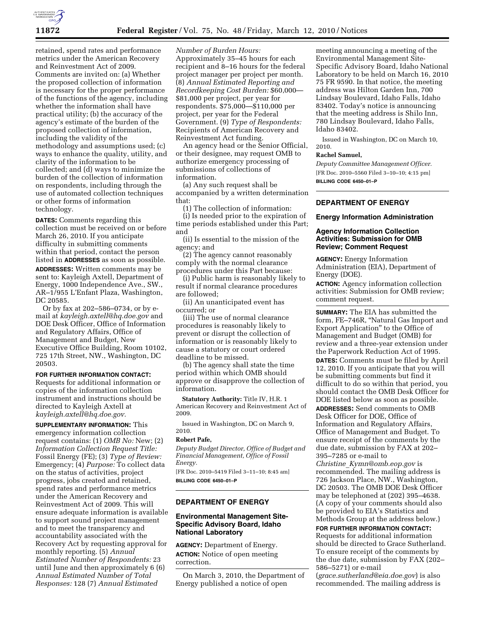

retained, spend rates and performance metrics under the American Recovery and Reinvestment Act of 2009. Comments are invited on: (a) Whether the proposed collection of information is necessary for the proper performance of the functions of the agency, including whether the information shall have practical utility; (b) the accuracy of the agency's estimate of the burden of the proposed collection of information, including the validity of the methodology and assumptions used; (c) ways to enhance the quality, utility, and clarity of the information to be collected; and (d) ways to minimize the burden of the collection of information on respondents, including through the use of automated collection techniques or other forms of information technology.

**DATES:** Comments regarding this collection must be received on or before March 26, 2010. If you anticipate difficulty in submitting comments within that period, contact the person listed in **ADDRESSES** as soon as possible. **ADDRESSES:** Written comments may be sent to: Kayleigh Axtell, Department of Energy, 1000 Independence Ave., SW., AR–1/955 L'Enfant Plaza, Washington, DC 20585.

Or by fax at 202–586–0734, or by email at *kayleigh.axtell@hq.doe.gov* and DOE Desk Officer, Office of Information and Regulatory Affairs, Office of Management and Budget, New Executive Office Building, Room 10102, 725 17th Street, NW., Washington, DC 20503.

#### **FOR FURTHER INFORMATION CONTACT:**

Requests for additional information or copies of the information collection instrument and instructions should be directed to Kayleigh Axtell at *kayleigh.axtell@hq.doe.gov.* 

**SUPPLEMENTARY INFORMATION:** This emergency information collection request contains: (1) *OMB No:* New; (2) *Information Collection Request Title:*  Fossil Energy (FE); (3) *Type of Review:*  Emergency; (4) *Purpose:* To collect data on the status of activities, project progress, jobs created and retained, spend rates and performance metrics under the American Recovery and Reinvestment Act of 2009. This will ensure adequate information is available to support sound project management and to meet the transparency and accountability associated with the Recovery Act by requesting approval for monthly reporting. (5) *Annual Estimated Number of Respondents:* 23 until June and then approximately 6 (6) *Annual Estimated Number of Total Responses:* 128 (7) *Annual Estimated* 

*Number of Burden Hours:*  Approximately 35–45 hours for each recipient and 8–16 hours for the federal project manager per project per month. (8) *Annual Estimated Reporting and Recordkeeping Cost Burden:* \$60,000— \$81,000 per project, per year for respondents. \$75,000—\$110,000 per project, per year for the Federal Government. (9) *Type of Respondents:*  Recipients of American Recovery and Reinvestment Act funding.

An agency head or the Senior Official, or their designee, may request OMB to authorize emergency processing of submissions of collections of information.

(a) Any such request shall be accompanied by a written determination that:

(1) The collection of information:

(i) Is needed prior to the expiration of time periods established under this Part; and

(ii) Is essential to the mission of the agency; and

(2) The agency cannot reasonably comply with the normal clearance procedures under this Part because:

(i) Public harm is reasonably likely to result if normal clearance procedures are followed;

(ii) An unanticipated event has occurred; or

(iii) The use of normal clearance procedures is reasonably likely to prevent or disrupt the collection of information or is reasonably likely to cause a statutory or court ordered deadline to be missed.

(b) The agency shall state the time period within which OMB should approve or disapprove the collection of information.

**Statutory Authority:** Title IV, H.R. 1 American Recovery and Reinvestment Act of 2009.

Issued in Washington, DC on March 9, 2010.

#### **Robert Pafe,**

*Deputy Budget Director, Office of Budget and Financial Management, Office of Fossil Energy.* 

[FR Doc. 2010–5419 Filed 3–11–10; 8:45 am] **BILLING CODE 6450–01–P** 

# **DEPARTMENT OF ENERGY**

### **Environmental Management Site-Specific Advisory Board, Idaho National Laboratory**

**AGENCY:** Department of Energy. **ACTION:** Notice of open meeting correction.

On March 3, 2010, the Department of Energy published a notice of open

meeting announcing a meeting of the Environmental Management Site-Specific Advisory Board, Idaho National Laboratory to be held on March 16, 2010 75 FR 9590. In that notice, the meeting address was Hilton Garden Inn, 700 Lindsay Boulevard, Idaho Falls, Idaho 83402. Today's notice is announcing that the meeting address is Shilo Inn, 780 Lindsay Boulevard, Idaho Falls, Idaho 83402.

Issued in Washington, DC on March 10, 2010.

### **Rachel Samuel,**

*Deputy Committee Management Officer.*  [FR Doc. 2010–5560 Filed 3–10–10; 4:15 pm] **BILLING CODE 6450–01–P** 

## **DEPARTMENT OF ENERGY**

#### **Energy Information Administration**

### **Agency Information Collection Activities: Submission for OMB Review; Comment Request**

**AGENCY:** Energy Information Administration (EIA), Department of Energy (DOE).

**ACTION:** Agency information collection activities: Submission for OMB review; comment request.

**SUMMARY:** The EIA has submitted the form, FE–746R, ''Natural Gas Import and Export Application'' to the Office of Management and Budget (OMB) for review and a three-year extension under the Paperwork Reduction Act of 1995. **DATES:** Comments must be filed by April 12, 2010. If you anticipate that you will be submitting comments but find it difficult to do so within that period, you should contact the OMB Desk Officer for DOE listed below as soon as possible. **ADDRESSES:** Send comments to OMB Desk Officer for DOE, Office of Information and Regulatory Affairs, Office of Management and Budget. To ensure receipt of the comments by the due date, submission by FAX at 202– 395–7285 or e-mail to *Christine*\_*Kymn@omb.eop.gov* is recommended. The mailing address is 726 Jackson Place, NW., Washington, DC 20503. The OMB DOE Desk Officer may be telephoned at (202) 395–4638. (A copy of your comments should also be provided to EIA's Statistics and Methods Group at the address below.) **FOR FURTHER INFORMATION CONTACT:** 

# Requests for additional information should be directed to Grace Sutherland. To ensure receipt of the comments by the due date, submission by FAX (202– 586–5271) or e-mail

(*grace.sutherland@eia.doe.gov*) is also recommended. The mailing address is